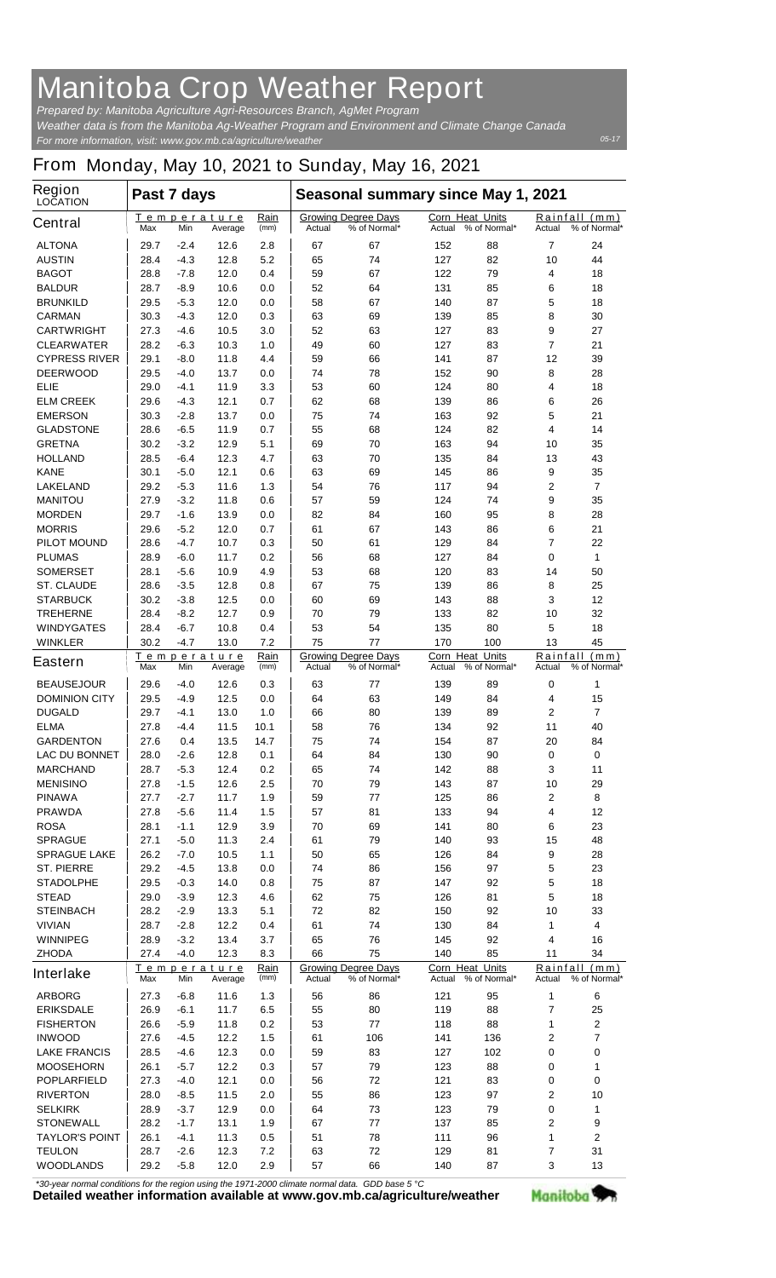## **Manitoba Crop Weather Report**

*For more information, visit: www.gov.mb.ca/agriculture/weather Prepared by: Manitoba Agriculture Agri-Resources Branch, AgMet Program Weather data is from the Manitoba Ag-Weather Program and Environment and Climate Change Canada*

## **From Monday, May 10, 2021 to Sunday, May 16, 2021**

| Region<br><b>LOCATION</b> | Past 7 days                                          |        |                        |                                                      | Seasonal summary since May 1, 2021                   |                                            |                                        |                                            |                                         |                      |
|---------------------------|------------------------------------------------------|--------|------------------------|------------------------------------------------------|------------------------------------------------------|--------------------------------------------|----------------------------------------|--------------------------------------------|-----------------------------------------|----------------------|
| <b>Central</b>            | Max                                                  | Min    | Temperature<br>Average | Rain<br>(mm)                                         | Actual                                               | <b>Growing Degree Days</b><br>% of Normal* | <b>Corn Heat Units</b><br>Actual       | % of Normal*                               | Rainfall<br>Actual                      | (mm)<br>% of Normal* |
| <b>ALTONA</b>             | 29.7                                                 | $-2.4$ | 12.6                   | 2.8                                                  | 67                                                   | 67                                         | 152                                    | 88                                         | 7                                       | 24                   |
| <b>AUSTIN</b>             | 28.4                                                 | $-4.3$ | 12.8                   | 5.2                                                  | 65                                                   | 74                                         | 127                                    | 82                                         | 10                                      | 44                   |
| <b>BAGOT</b>              | 28.8                                                 | $-7.8$ | 12.0                   | 0.4                                                  | 59                                                   | 67                                         | 122                                    | 79                                         | 4                                       | 18                   |
| <b>BALDUR</b>             | 28.7                                                 | $-8.9$ | 10.6                   | 0.0                                                  | 52                                                   | 64                                         | 131                                    | 85                                         | 6                                       | 18                   |
| <b>BRUNKILD</b>           | 29.5                                                 | $-5.3$ | 12.0                   | 0.0                                                  | 58                                                   | 67                                         | 140                                    | 87                                         | 5                                       | 18                   |
| <b>CARMAN</b>             | 30.3                                                 | $-4.3$ | 12.0                   | 0.3                                                  | 63                                                   | 69                                         | 139                                    | 85                                         | 8                                       | 30                   |
| <b>CARTWRIGHT</b>         | 27.3                                                 | -4.6   | 10.5                   | 3.0                                                  | 52                                                   | 63                                         | 127                                    | 83                                         | 9                                       | 27                   |
| <b>CLEARWATER</b>         | 28.2                                                 | $-6.3$ | 10.3                   | 1.0                                                  | 49                                                   | 60                                         | 127                                    | 83                                         | 7                                       | 21                   |
| <b>CYPRESS RIVER</b>      | 29.1                                                 | $-8.0$ | 11.8                   | 4.4                                                  | 59                                                   | 66                                         | 141                                    | 87                                         | 12                                      | 39                   |
| <b>DEERWOOD</b>           | 29.5                                                 | -4.0   | 13.7                   | 0.0                                                  | 74                                                   | 78                                         | 152                                    | 90                                         | 8                                       | 28                   |
| <b>ELIE</b>               | 29.0                                                 | $-4.1$ | 11.9                   | 3.3                                                  | 53                                                   | 60                                         | 124                                    | 80                                         | 4                                       | 18                   |
| <b>ELM CREEK</b>          | 29.6                                                 | $-4.3$ | 12.1                   | 0.7                                                  | 62                                                   | 68                                         | 139                                    | 86                                         | 6                                       | 26                   |
| <b>EMERSON</b>            | 30.3                                                 | $-2.8$ | 13.7                   | 0.0                                                  | 75                                                   | 74                                         | 163                                    | 92                                         | 5                                       | 21                   |
| <b>GLADSTONE</b>          | 28.6                                                 | -6.5   | 11.9                   | 0.7                                                  | 55                                                   | 68                                         | 124                                    | 82                                         | 4                                       | 14                   |
| <b>GRETNA</b>             | 30.2                                                 | $-3.2$ | 12.9                   | 5.1                                                  | 69                                                   | 70                                         | 163                                    | 94                                         | 10                                      | 35                   |
| <b>HOLLAND</b>            | 28.5                                                 | $-6.4$ | 12.3                   | 4.7                                                  | 63                                                   | 70                                         | 135                                    | 84                                         | 13                                      | 43                   |
| <b>KANE</b>               | 30.1                                                 | $-5.0$ | 12.1                   | 0.6                                                  | 63                                                   | 69                                         | 145                                    | 86                                         | 9                                       | 35                   |
| <b>LAKELAND</b>           | 29.2                                                 | $-5.3$ | 11.6                   | 1.3                                                  | 54                                                   | 76                                         | 117                                    | 94                                         | $\mathbf{2}$                            | $\overline{7}$       |
| <b>MANITOU</b>            | 27.9                                                 | $-3.2$ | 11.8                   | 0.6                                                  | 57                                                   | 59                                         | 124                                    | 74                                         | 9                                       | 35                   |
| <b>MORDEN</b>             | 29.7                                                 | $-1.6$ | 13.9                   | 0.0                                                  | 82                                                   | 84                                         | 160                                    | 95                                         | 8                                       | 28                   |
| <b>MORRIS</b>             | 29.6                                                 | $-5.2$ | 12.0                   | 0.7                                                  | 61                                                   | 67                                         | 143                                    | 86                                         | 6                                       | 21                   |
| <b>PILOT MOUND</b>        | 28.6                                                 | $-4.7$ | 10.7                   | 0.3                                                  | 50                                                   | 61                                         | 129                                    | 84                                         | 7                                       | 22                   |
| <b>PLUMAS</b>             | 28.9                                                 | $-6.0$ | 11.7                   | 0.2                                                  | 56                                                   | 68                                         | 127                                    | 84                                         | 0                                       | 1                    |
| <b>SOMERSET</b>           | 28.1                                                 | $-5.6$ | 10.9                   | 4.9                                                  | 53                                                   | 68                                         | 120                                    | 83                                         | 14                                      | 50                   |
| <b>ST. CLAUDE</b>         | 28.6                                                 | $-3.5$ | 12.8                   | 0.8                                                  | 67                                                   | 75                                         | 139                                    | 86                                         | 8                                       | 25                   |
| <b>STARBUCK</b>           | 30.2                                                 | $-3.8$ | 12.5                   | 0.0                                                  | 60                                                   | 69                                         | 143                                    | 88                                         | 3                                       | 12                   |
| <b>TREHERNE</b>           | 28.4                                                 | $-8.2$ | 12.7                   | 0.9                                                  | 70                                                   | 79                                         | 133                                    | 82                                         | 10                                      | 32                   |
| <b>WINDYGATES</b>         | 28.4                                                 | -6.7   | 10.8                   | 0.4                                                  | 53                                                   | 54                                         | 135                                    | 80                                         | 5                                       | 18                   |
| <b>WINKLER</b>            | 30.2                                                 | -4.7   | 13.0                   | 7.2                                                  | 75                                                   | 77                                         | 170                                    | 100                                        | 13                                      | 45                   |
| <b>Eastern</b>            | Temperature<br>Rain<br>(mm)<br>Max<br>Min<br>Average |        |                        | <b>Growing Degree Days</b><br>% of Normal*<br>Actual |                                                      | Corn Heat Units<br>Actual                  | % of Normal*                           | Rainfall<br>(mm)<br>% of Normal*<br>Actual |                                         |                      |
| <b>BEAUSEJOUR</b>         | 29.6                                                 | -4.0   | 12.6                   | 0.3                                                  | 63                                                   | 77                                         | 139                                    | 89                                         | 0                                       | 1                    |
| <b>DOMINION CITY</b>      | 29.5                                                 | -4.9   | 12.5                   | 0.0                                                  | 64                                                   | 63                                         | 149                                    | 84                                         | 4                                       | 15                   |
| <b>DUGALD</b>             | 29.7                                                 | $-4.1$ | 13.0                   | 1.0                                                  | 66                                                   | 80                                         | 139                                    | 89                                         | $\mathbf{2}$                            | $\overline{7}$       |
| <b>ELMA</b>               | 27.8                                                 | -4.4   | 11.5                   | 10.1                                                 | 58                                                   | 76                                         | 134                                    | 92                                         | 11                                      | 40                   |
| <b>GARDENTON</b>          | 27.6                                                 | 0.4    | 13.5                   | 14.7                                                 | 75                                                   | 74                                         | 154                                    | 87                                         | 20                                      | 84                   |
| <b>LAC DU BONNET</b>      | 28.0                                                 | -2.6   | 12.8                   | 0.1                                                  | 64                                                   | 84                                         | 130                                    | 90                                         | $\pmb{0}$                               | 0                    |
| <b>MARCHAND</b>           | 28.7                                                 | $-5.3$ | 12.4                   | 0.2                                                  | 65                                                   | 74                                         | 142                                    | 88                                         | 3                                       | 11                   |
| <b>MENISINO</b>           | 27.8                                                 | $-1.5$ | 12.6                   | 2.5                                                  | 70                                                   | 79                                         | 143                                    | 87                                         | 10                                      | 29                   |
| <b>PINAWA</b>             | 27.7                                                 | $-2.7$ | 11.7                   | 1.9                                                  | 59                                                   | 77                                         | 125                                    | 86                                         | $\mathbf 2$                             | 8                    |
| <b>PRAWDA</b>             | 27.8                                                 | -5.6   | 11.4                   | 1.5                                                  | 57                                                   | 81                                         | 133                                    | 94                                         | 4                                       | 12                   |
| <b>ROSA</b>               | 28.1                                                 | $-1.1$ | 12.9                   | 3.9                                                  | 70                                                   | 69                                         | 141                                    | 80                                         | 6                                       | 23                   |
| <b>SPRAGUE</b>            | 27.1                                                 | $-5.0$ | 11.3                   | 2.4                                                  | 61                                                   | 79                                         | 140                                    | 93                                         | 15                                      | 48                   |
| <b>SPRAGUE LAKE</b>       | 26.2                                                 | $-7.0$ | 10.5                   | 1.1                                                  | 50                                                   | 65                                         | 126                                    | 84                                         | 9                                       | 28                   |
| <b>ST. PIERRE</b>         | 29.2                                                 | $-4.5$ | 13.8                   | 0.0                                                  | 74                                                   | 86                                         | 156                                    | 97                                         | 5                                       | 23                   |
| <b>STADOLPHE</b>          | 29.5                                                 | $-0.3$ | 14.0                   | 0.8                                                  | 75                                                   | 87                                         | 147                                    | 92                                         | 5                                       | 18                   |
| <b>STEAD</b>              | 29.0                                                 | $-3.9$ | 12.3                   | 4.6                                                  | 62                                                   | 75                                         | 126                                    | 81                                         | 5                                       | 18                   |
| <b>STEINBACH</b>          | 28.2                                                 | $-2.9$ | 13.3                   | 5.1                                                  | 72                                                   | 82                                         | 150                                    | 92                                         | 10                                      | 33                   |
| <b>VIVIAN</b>             | 28.7                                                 | -2.8   | 12.2                   | 0.4                                                  | 61                                                   | 74                                         | 130                                    | 84                                         | 1                                       | 4                    |
| <b>WINNIPEG</b>           | 28.9                                                 | $-3.2$ | 13.4                   | 3.7                                                  | 65                                                   | 76                                         | 145                                    | 92                                         | 4                                       | 16                   |
| <b>ZHODA</b>              | 27.4                                                 | $-4.0$ | 12.3                   | 8.3<br>Rain                                          | 66                                                   | 75                                         | 140                                    | 85                                         | 11                                      | 34                   |
| <b>Interlake</b>          | Max                                                  | Min    | Temperature<br>Average | (mm)                                                 | <b>Growing Degree Days</b><br>% of Normal*<br>Actual |                                            | Corn Heat Units<br>Actual % of Normal* |                                            | Rainfall (mm)<br>% of Normal*<br>Actual |                      |
| <b>ARBORG</b>             | 27.3                                                 | $-6.8$ | 11.6                   | $1.3$                                                | 56                                                   | 86                                         | 121                                    | 95                                         | 1                                       | 6                    |
| <b>ERIKSDALE</b>          | 26.9                                                 | $-6.1$ | 11.7                   | 6.5                                                  | 55                                                   | 80                                         | 119                                    | 88                                         | 7                                       | 25                   |
| <b>FISHERTON</b>          | 26.6                                                 | $-5.9$ | 11.8                   | 0.2                                                  | 53                                                   | 77                                         | 118                                    | 88                                         | 1                                       | $\mathbf 2$          |
| <b>INWOOD</b>             | 27.6                                                 | -4.5   | 12.2                   | 1.5                                                  | 61                                                   | 106                                        | 141                                    | 136                                        | $\mathbf 2$                             | $\overline{7}$       |
| <b>LAKE FRANCIS</b>       | 28.5                                                 | -4.6   | 12.3                   | 0.0                                                  | 59                                                   | 83                                         | 127                                    | 102                                        | 0                                       | 0                    |
| <b>MOOSEHORN</b>          | 26.1                                                 | $-5.7$ | 12.2                   | 0.3                                                  | 57                                                   | 79                                         | 123                                    | 88                                         | 0                                       | 1                    |
| <b>POPLARFIELD</b>        | 27.3                                                 | $-4.0$ | 12.1                   | 0.0                                                  | 56                                                   | 72                                         | 121                                    | 83                                         | 0                                       | 0                    |
| <b>RIVERTON</b>           | 28.0                                                 | $-8.5$ | 11.5                   | 2.0                                                  | 55                                                   | 86                                         | 123                                    | 97                                         | $\mathbf 2$                             | 10                   |
| <b>SELKIRK</b>            | 28.9                                                 | $-3.7$ | 12.9                   | 0.0                                                  | 64                                                   | 73                                         | 123                                    | 79                                         | 0                                       | 1                    |
| <b>STONEWALL</b>          | 28.2                                                 | $-1.7$ | 13.1                   | 1.9                                                  | 67                                                   | 77                                         | 137                                    | 85                                         | 2                                       | 9                    |
| <b>TAYLOR'S POINT</b>     | 26.1                                                 | $-4.1$ | 11.3                   | 0.5                                                  | 51                                                   | 78                                         | 111                                    | 96                                         | 1                                       | $\mathbf{2}$         |
| <b>TEULON</b>             | 28.7                                                 | $-2.6$ | 12.3                   | 7.2                                                  | 63                                                   | 72                                         | 129                                    | 81                                         | 7                                       | 31                   |
| <b>WOODLANDS</b>          | 29.2                                                 | $-5.8$ | 12.0                   | 2.9                                                  | 57                                                   | 66                                         | 140                                    | 87                                         | 3                                       | 13                   |

*\*30-year normal conditions for the region using the 1971-2000 climate normal data. GDD base 5 °C*<br>Detailed weather information available at www.gov.mb.ca/agriculture/weather

Manitoba<sup>9</sup>